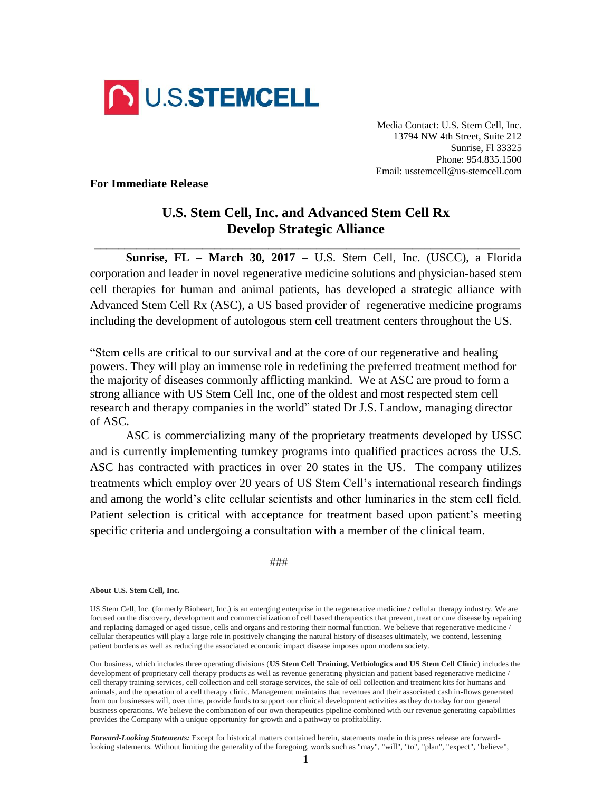

Media Contact: U.S. Stem Cell, Inc. 13794 NW 4th Street, Suite 212 Sunrise, Fl 33325 Phone: 954.835.1500 Email: usstemcell@us-stemcell.com

**For Immediate Release**

## **U.S. Stem Cell, Inc. and Advanced Stem Cell Rx Develop Strategic Alliance**

**\_\_\_\_\_\_\_\_\_\_\_\_\_\_\_\_\_\_\_\_\_\_\_\_\_\_\_\_\_\_\_\_\_\_\_\_\_\_\_\_\_\_\_\_\_\_\_\_\_\_\_\_\_\_\_\_\_\_\_\_\_\_\_\_\_\_\_\_\_\_\_**

**Sunrise, FL – March 30, 2017 –** U.S. Stem Cell, Inc. (USCC), a Florida corporation and leader in novel regenerative medicine solutions and physician-based stem cell therapies for human and animal patients, has developed a strategic alliance with Advanced Stem Cell Rx (ASC), a US based provider of regenerative medicine programs including the development of autologous stem cell treatment centers throughout the US.

"Stem cells are critical to our survival and at the core of our regenerative and healing powers. They will play an immense role in redefining the preferred treatment method for the majority of diseases commonly afflicting mankind. We at ASC are proud to form a strong alliance with US Stem Cell Inc, one of the oldest and most respected stem cell research and therapy companies in the world" stated Dr J.S. Landow, managing director of ASC.

ASC is commercializing many of the proprietary treatments developed by USSC and is currently implementing turnkey programs into qualified practices across the U.S. ASC has contracted with practices in over 20 states in the US. The company utilizes treatments which employ over 20 years of US Stem Cell's international research findings and among the world's elite cellular scientists and other luminaries in the stem cell field. Patient selection is critical with acceptance for treatment based upon patient's meeting specific criteria and undergoing a consultation with a member of the clinical team.

###

## **About U.S. Stem Cell, Inc.**

US Stem Cell, Inc. (formerly Bioheart, Inc.) is an emerging enterprise in the regenerative medicine / cellular therapy industry. We are focused on the discovery, development and commercialization of cell based therapeutics that prevent, treat or cure disease by repairing and replacing damaged or aged tissue, cells and organs and restoring their normal function. We believe that regenerative medicine / cellular therapeutics will play a large role in positively changing the natural history of diseases ultimately, we contend, lessening patient burdens as well as reducing the associated economic impact disease imposes upon modern society.

Our business, which includes three operating divisions (**US Stem Cell Training, Vetbiologics and US Stem Cell Clinic**) includes the development of proprietary cell therapy products as well as revenue generating physician and patient based regenerative medicine / cell therapy training services, cell collection and cell storage services, the sale of cell collection and treatment kits for humans and animals, and the operation of a cell therapy clinic. Management maintains that revenues and their associated cash in-flows generated from our businesses will, over time, provide funds to support our clinical development activities as they do today for our general business operations. We believe the combination of our own therapeutics pipeline combined with our revenue generating capabilities provides the Company with a unique opportunity for growth and a pathway to profitability.

*Forward-Looking Statements:* Except for historical matters contained herein, statements made in this press release are forwardlooking statements. Without limiting the generality of the foregoing, words such as "may", "will", "to", "plan", "expect", "believe",